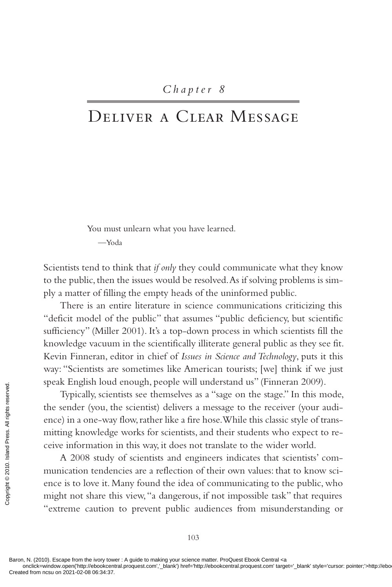# Deliver a Clear Message

You must unlearn what you have learned. —Yoda

Scientists tend to think that *if only* they could communicate what they know to the public, then the issues would be resolved.As if solving problems is simply a matter of filling the empty heads of the uninformed public.

There is an entire literature in science communications criticizing this "deficit model of the public" that assumes "public deficiency, but scientific sufficiency" (Miller 2001). It's a top-down process in which scientists fill the knowledge vacuum in the scientifically illiterate general public as they see fit. Kevin Finneran, editor in chief of *Issues in Science and Technology*, puts it this way: "Scientists are sometimes like American tourists; [we] think if we just speak English loud enough, people will understand us" (Finneran 2009).

Typically, scientists see themselves as a "sage on the stage." In this mode, the sender (you, the scientist) delivers a message to the receiver (your audience) in a one-way flow,rather like a fire hose.While this classic style of transmitting knowledge works for scientists, and their students who expect to receive information in this way, it does not translate to the wider world. Examples a Linguistic Typically, scient<br>
Lemonton in a one-way<br>
mitting knowledge<br>
ceive information<br>
A 2008 study<br>
munication tender<br>
ence is to love it. N<br>
might not share the<br>
"extreme caution<br>
"extreme caution<br>
Saron,

A 2008 study of scientists and engineers indicates that scientists' communication tendencies are a reflection of their own values: that to know science is to love it. Many found the idea of communicating to the public, who might not share this view,"a dangerous, if not impossible task" that requires "extreme caution to prevent public audiences from misunderstanding or

Baron, N. (2010). Escape from the ivory tower : A guide to making your science matter. ProQuest Ebook Central <a onclick=window.open('http://ebookcentral.proquest.com','\_blank') href='http://ebookcentral.proquest.com' target='\_blank' style='cursor: pointer;'>http://ebookcentral.proquest.com' target='\_blank' style='cursor: pointer;'>h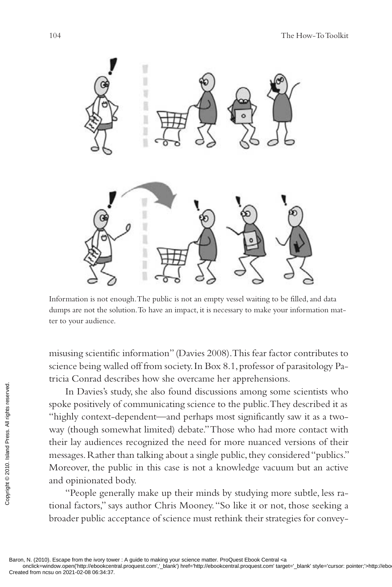

Information is not enough.The public is not an empty vessel waiting to be filled, and data dumps are not the solution.To have an impact, it is necessary to make your information matter to your audience.

misusing scientific information"(Davies 2008).This fear factor contributes to science being walled off from society. In Box 8.1, professor of parasitology Patricia Conrad describes how she overcame her apprehensions.

In Davies's study, she also found discussions among some scientists who spoke positively of communicating science to the public.They described it as "highly context-dependent—and perhaps most significantly saw it as a twoway (though somewhat limited) debate."Those who had more contact with their lay audiences recognized the need for more nuanced versions of their messages. Rather than talking about a single public, they considered "publics." Moreover, the public in this case is not a knowledge vacuum but an active and opinionated body. From the property of the search of the search of the search of the search of the search of the search of the search of the search of the search from ncsu on 2021-02-08 06:34:37.

"People generally make up their minds by studying more subtle, less rational factors," says author Chris Mooney."So like it or not, those seeking a broader public acceptance of science must rethink their strategies for convey-

Baron, N. (2010). Escape from the ivory tower : A guide to making your science matter. ProQuest Ebook Central <a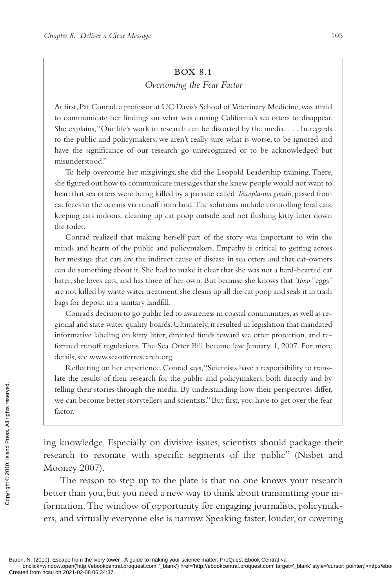### **BOX 8.1** *Overcoming the Fear Factor*

At first,Pat Conrad,a professor at UC Davis's School of Veterinary Medicine,was afraid to communicate her findings on what was causing California's sea otters to disappear. She explains,"Our life's work in research can be distorted by the media. ... In regards to the public and policymakers, we aren't really sure what is worse, to be ignored and have the significance of our research go unrecognized or to be acknowledged but misunderstood."

To help overcome her misgivings, she did the Leopold Leadership training.There, she figured out how to communicate messages that she knew people would not want to hear: that sea otters were being killed by a parasite called *Toxoplasma gondii*, passed from cat feces to the oceans via runoff from land.The solutions include controlling feral cats, keeping cats indoors, cleaning up cat poop outside, and not flushing kitty litter down the toilet.

Conrad realized that making herself part of the story was important to win the minds and hearts of the public and policymakers. Empathy is critical to getting across her message that cats are the indirect cause of disease in sea otters and that cat-owners can do something about it. She had to make it clear that she was not a hard-hearted cat hater, she loves cats, and has three of her own. But because she knows that *Toxo* "eggs" are not killed by waste water treatment,she cleans up all the cat poop and seals it in trash bags for deposit in a sanitary landfill.

Conrad's decision to go public led to awareness in coastal communities, as well as regional and state water quality boards. Ultimately, it resulted in legislation that mandated informative labeling on kitty litter, directed funds toward sea otter protection, and reformed runoff regulations.The Sea Otter Bill became law January 1, 2007. For more details, see www.seaotterresearch.org

Reflecting on her experience, Conrad says,"Scientists have a responsibility to translate the results of their research for the public and policymakers, both directly and by telling their stories through the media. By understanding how their perspectives differ, we can become better storytellers and scientists." But first, you have to get over the fear factor.

ing knowledge. Especially on divisive issues, scientists should package their research to resonate with specific segments of the public" (Nisbet and Mooney 2007).

The reason to step up to the plate is that no one knows your research better than you, but you need a new way to think about transmitting your information. The window of opportunity for engaging journalists, policymakers, and virtually everyone else is narrow. Speaking faster, louder, or covering The state of the state of the state of the state of the state of the state of the state of the state of the state of the state of the created from ncsu on 2021-02-08 06:34:37.

Baron, N. (2010). Escape from the ivory tower : A guide to making your science matter. ProQuest Ebook Central <a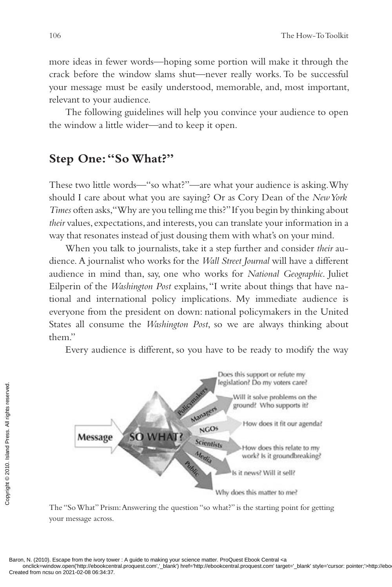more ideas in fewer words—hoping some portion will make it through the crack before the window slams shut—never really works. To be successful your message must be easily understood, memorable, and, most important, relevant to your audience.

The following guidelines will help you convince your audience to open the window a little wider—and to keep it open.

# **Step One:"So What?"**

These two little words—"so what?"—are what your audience is asking.Why should I care about what you are saying? Or as Cory Dean of the *NewYork Times* often asks,"Why are you telling me this?"If you begin by thinking about *their* values, expectations, and interests, you can translate your information in a way that resonates instead of just dousing them with what's on your mind.

When you talk to journalists, take it a step further and consider *their* audience. A journalist who works for the *Wall Street Journal* will have a different audience in mind than, say, one who works for *National Geographic*. Juliet Eilperin of the *Washington Post* explains,"I write about things that have national and international policy implications. My immediate audience is everyone from the president on down: national policymakers in the United States all consume the *Washington Post*, so we are always thinking about them."

Every audience is different, so you have to be ready to modify the way



The "SoWhat" Prism:Answering the question "so what?" is the starting point for getting your message across.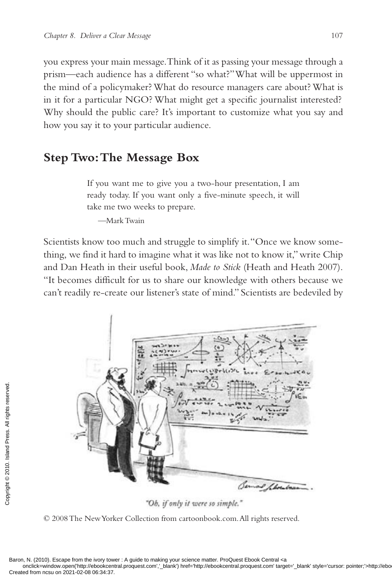you express your main message.Think of it as passing your message through a prism—each audience has a different "so what?"What will be uppermost in the mind of a policymaker? What do resource managers care about? What is in it for a particular NGO? What might get a specific journalist interested? Why should the public care? It's important to customize what you say and how you say it to your particular audience.

# **Step Two:The Message Box**

If you want me to give you a two-hour presentation, I am ready today. If you want only a five-minute speech, it will take me two weeks to prepare.

—MarkTwain

Scientists know too much and struggle to simplify it."Once we know something, we find it hard to imagine what it was like not to know it," write Chip and Dan Heath in their useful book, *Made to Stick* (Heath and Heath 2007). "It becomes difficult for us to share our knowledge with others because we can't readily re-create our listener's state of mind." Scientists are bedeviled by



"Oh, if only it were so simple."

© 2008The NewYorker Collection from cartoonbook.com.All rights reserved.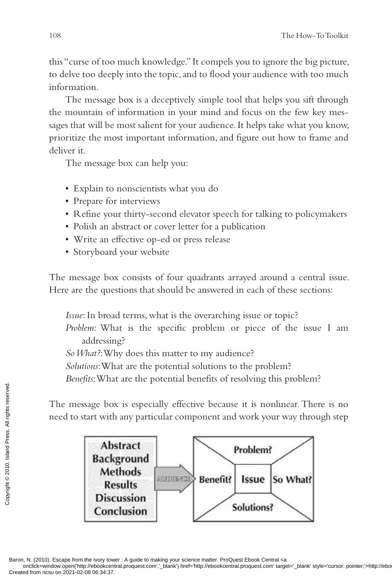this"curse of too much knowledge."It compels you to ignore the big picture, to delve too deeply into the topic, and to flood your audience with too much information.

The message box is a deceptively simple tool that helps you sift through the mountain of information in your mind and focus on the few key messages that will be most salient for your audience. It helps take what you know, prioritize the most important information, and figure out how to frame and deliver it.

The message box can help you:

- Explain to nonscientists what you do
- Prepare for interviews
- Refine your thirty-second elevator speech for talking to policymakers
- Polish an abstract or cover letter for a publication
- Write an effective op-ed or press release
- Storyboard your website

The message box consists of four quadrants arrayed around a central issue. Here are the questions that should be answered in each of these sections:

*Issue*: In broad terms, what is the overarching issue or topic? *Problem*: What is the specific problem or piece of the issue I am addressing?

*SoWhat?*:Why does this matter to my audience?

*Solutions*:What are the potential solutions to the problem?

*Benefits*:What are the potential benefits of resolving this problem?

The message box is especially effective because it is nonlinear. There is no need to start with any particular component and work your way through step



Baron, N. (2010). Escape from the ivory tower : A guide to making your science matter. ProQuest Ebook Central <a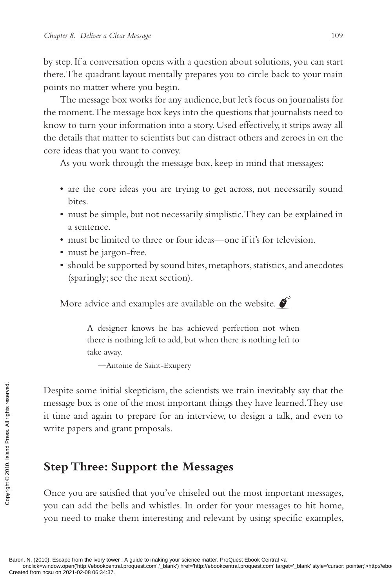by step. If a conversation opens with a question about solutions, you can start there.The quadrant layout mentally prepares you to circle back to your main points no matter where you begin.

The message box works for any audience, but let's focus on journalists for the moment.The message box keys into the questions that journalists need to know to turn your information into a story. Used effectively, it strips away all the details that matter to scientists but can distract others and zeroes in on the core ideas that you want to convey.

As you work through the message box, keep in mind that messages:

- are the core ideas you are trying to get across, not necessarily sound bites.
- must be simple, but not necessarily simplistic.They can be explained in a sentence.
- must be limited to three or four ideas—one if it's for television.
- must be jargon-free.
- should be supported by sound bites, metaphors, statistics, and anecdotes (sparingly; see the next section).

More advice and examples are available on the website.

A designer knows he has achieved perfection not when there is nothing left to add, but when there is nothing left to take away.

—Antoine de Saint-Exupery

Despite some initial skepticism, the scientists we train inevitably say that the message box is one of the most important things they have learned.They use it time and again to prepare for an interview, to design a talk, and even to write papers and grant proposals. Created from ncsu on 2021-02-08 06:34:37.<br>
Created from ncsu on 2021-02-08 06:34:37.<br>
Created from ncsu on 2021-02-08 06:34:37.

# **Step Three: Support the Messages**

Once you are satisfied that you've chiseled out the most important messages, you can add the bells and whistles. In order for your messages to hit home, you need to make them interesting and relevant by using specific examples,

Baron, N. (2010). Escape from the ivory tower : A guide to making your science matter. ProQuest Ebook Central <a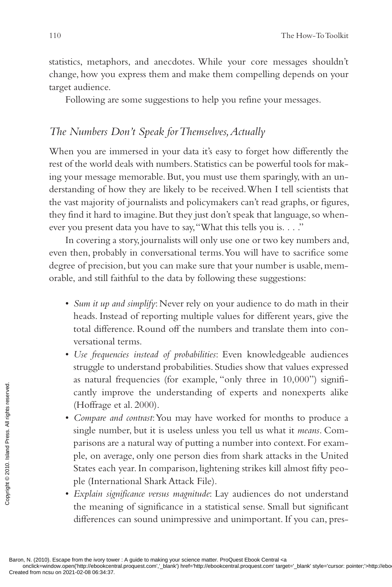statistics, metaphors, and anecdotes. While your core messages shouldn't change, how you express them and make them compelling depends on your target audience.

Following are some suggestions to help you refine your messages.

## *The Numbers Don't Speak forThemselves,Actually*

When you are immersed in your data it's easy to forget how differently the rest of the world deals with numbers.Statistics can be powerful tools for making your message memorable. But, you must use them sparingly, with an understanding of how they are likely to be received.When I tell scientists that the vast majority of journalists and policymakers can't read graphs, or figures, they find it hard to imagine. But they just don't speak that language, so whenever you present data you have to say,"What this tells you is. . . ."

In covering a story, journalists will only use one or two key numbers and, even then, probably in conversational terms.You will have to sacrifice some degree of precision, but you can make sure that your number is usable, memorable, and still faithful to the data by following these suggestions:

- *Sum it up and simplify*: Never rely on your audience to do math in their heads. Instead of reporting multiple values for different years, give the total difference. Round off the numbers and translate them into conversational terms.
- *Use frequencies instead of probabilities*: Even knowledgeable audiences struggle to understand probabilities. Studies show that values expressed as natural frequencies (for example, "only three in 10,000") significantly improve the understanding of experts and nonexperts alike (Hoffrage et al. 2000).
- *Compare and contrast*:You may have worked for months to produce a single number, but it is useless unless you tell us what it *means*. Comparisons are a natural way of putting a number into context.For example, on average, only one person dies from shark attacks in the United States each year. In comparison, lightening strikes kill almost fifty people (International Shark Attack File). Exercise the second from ncsu on 2021-02-08 06:34:37.<br>
Baron, N. (2010). Escape from the ivory toward of more of created from ncsu on 2021-02-08 06:34:37.
	- *Explain significance versus magnitude*: Lay audiences do not understand the meaning of significance in a statistical sense. Small but significant differences can sound unimpressive and unimportant. If you can, pres-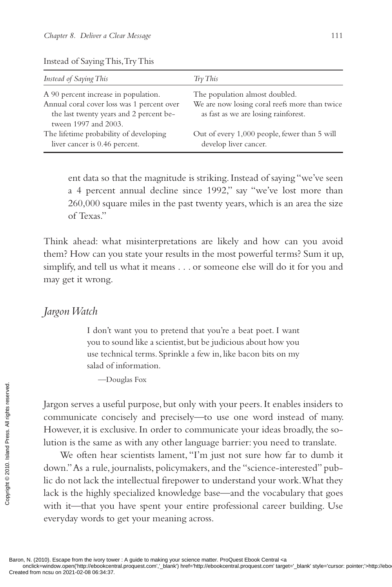| Instead of Saying This                                                                                                                                | Try This                                                                                                                |
|-------------------------------------------------------------------------------------------------------------------------------------------------------|-------------------------------------------------------------------------------------------------------------------------|
| A 90 percent increase in population.<br>Annual coral cover loss was 1 percent over<br>the last twenty years and 2 percent be-<br>tween 1997 and 2003. | The population almost doubled.<br>We are now losing coral reefs more than twice<br>as fast as we are losing rainforest. |
| The lifetime probability of developing<br>liver cancer is 0.46 percent.                                                                               | Out of every 1,000 people, fewer than 5 will<br>develop liver cancer.                                                   |

Instead of SayingThis,TryThis

ent data so that the magnitude is striking. Instead of saying "we've seen a 4 percent annual decline since 1992," say "we've lost more than 260,000 square miles in the past twenty years, which is an area the size of Texas."

Think ahead: what misinterpretations are likely and how can you avoid them? How can you state your results in the most powerful terms? Sum it up, simplify, and tell us what it means ... or someone else will do it for you and may get it wrong.

### *JargonWatch*

I don't want you to pretend that you're a beat poet. I want you to sound like a scientist, but be judicious about how you use technical terms. Sprinkle a few in, like bacon bits on my salad of information.

—Douglas Fox

Jargon serves a useful purpose, but only with your peers. It enables insiders to communicate concisely and precisely—to use one word instead of many. However, it is exclusive. In order to communicate your ideas broadly, the solution is the same as with any other language barrier: you need to translate.

We often hear scientists lament, "I'm just not sure how far to dumb it down."As a rule, journalists, policymakers, and the "science-interested" public do not lack the intellectual firepower to understand your work.What they lack is the highly specialized knowledge base—and the vocabulary that goes with it—that you have spent your entire professional career building. Use everyday words to get your meaning across. Example 2021-02-08 06:34:37.<br>
Example 2021-02-08 06:34:37.<br>
Baron, N. (2010). Escape from the ivory toward Created from ncsu on 2021-02-08 06:34:37.

Baron, N. (2010). Escape from the ivory tower : A guide to making your science matter. ProQuest Ebook Central <a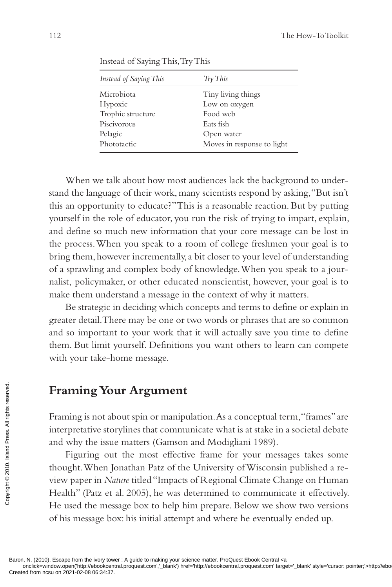| Instead of Saying This | Try This                   |
|------------------------|----------------------------|
| Microbiota             | Tiny living things         |
| Hypoxic                | Low on oxygen              |
| Trophic structure      | Food web                   |
| Piscivorous            | Eats fish                  |
| Pelagic                | Open water                 |
| Phototactic            | Moves in response to light |

Instead of SayingThis,TryThis

When we talk about how most audiences lack the background to understand the language of their work, many scientists respond by asking,"But isn't this an opportunity to educate?"This is a reasonable reaction. But by putting yourself in the role of educator, you run the risk of trying to impart, explain, and define so much new information that your core message can be lost in the process.When you speak to a room of college freshmen your goal is to bring them, however incrementally, a bit closer to your level of understanding of a sprawling and complex body of knowledge.When you speak to a journalist, policymaker, or other educated nonscientist, however, your goal is to make them understand a message in the context of why it matters.

Be strategic in deciding which concepts and terms to define or explain in greater detail.There may be one or two words or phrases that are so common and so important to your work that it will actually save you time to define them. But limit yourself. Definitions you want others to learn can compete with your take-home message.

# **FramingYour Argument**

Framing is not about spin or manipulation. As a conceptual term, "frames" are interpretative storylines that communicate what is at stake in a societal debate and why the issue matters (Gamson and Modigliani 1989).

Figuring out the most effective frame for your messages takes some thought.When Jonathan Patz of the University of Wisconsin published a review paper in *Nature* titled"Impacts of Regional Climate Change on Human Health" (Patz et al. 2005), he was determined to communicate it effectively. He used the message box to help him prepare. Below we show two versions of his message box: his initial attempt and where he eventually ended up. Framing Yo<br>  $\frac{1}{2}$ <br>  $\frac{1}{2}$ <br>  $\frac{1}{2}$ <br>  $\frac{1}{2}$ <br>  $\frac{1}{2}$ <br>  $\frac{1}{2}$ <br>  $\frac{1}{2}$ <br>  $\frac{1}{2}$ <br>  $\frac{1}{2}$ <br>  $\frac{1}{2}$ <br>  $\frac{1}{2}$ <br>  $\frac{1}{2}$ <br>  $\frac{1}{2}$ <br>  $\frac{1}{2}$ <br>  $\frac{1}{2}$ <br>
Baron, N. (2010). Escape from the ivory tow<br>

Baron, N. (2010). Escape from the ivory tower : A guide to making your science matter. ProQuest Ebook Central <a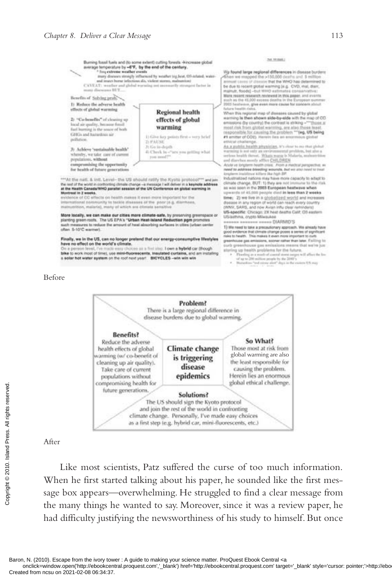





After

Like most scientists, Patz suffered the curse of too much information. When he first started talking about his paper, he sounded like the first message box appears—overwhelming. He struggled to find a clear message from the many things he wanted to say. Moreover, since it was a review paper, he had difficulty justifying the newsworthiness of his study to himself. But once Examples<br>
Examples and the served.<br>
Served.<br>
Created from ncsu on 2021-02-08 06:34:37.<br>
Created from ncsu on 2021-02-08 06:34:37.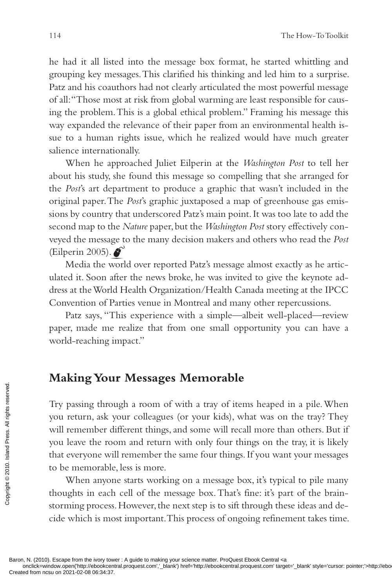he had it all listed into the message box format, he started whittling and grouping key messages.This clarified his thinking and led him to a surprise. Patz and his coauthors had not clearly articulated the most powerful message of all:"Those most at risk from global warming are least responsible for causing the problem.This is a global ethical problem." Framing his message this way expanded the relevance of their paper from an environmental health issue to a human rights issue, which he realized would have much greater salience internationally.

When he approached Juliet Eilperin at the *Washington Post* to tell her about his study, she found this message so compelling that she arranged for the *Post*'s art department to produce a graphic that wasn't included in the original paper.The *Post*'s graphic juxtaposed a map of greenhouse gas emissions by country that underscored Patz's main point.It was too late to add the second map to the *Nature* paper,but the *Washington Post* story effectively conveyed the message to the many decision makers and others who read the *Post* (Eilperin 2005).  $\bullet$ 

Media the world over reported Patz's message almost exactly as he articulated it. Soon after the news broke, he was invited to give the keynote address at theWorld Health Organization/Health Canada meeting at the IPCC Convention of Parties venue in Montreal and many other repercussions.

Patz says, "This experience with a simple—albeit well-placed—review paper, made me realize that from one small opportunity you can have a world-reaching impact."

# **MakingYour Messages Memorable**

Try passing through a room of with a tray of items heaped in a pile.When you return, ask your colleagues (or your kids), what was on the tray? They will remember different things, and some will recall more than others. But if you leave the room and return with only four things on the tray, it is likely that everyone will remember the same four things.If you want your messages to be memorable, less is more. Try passing throughts in the search of that everyone will remember d<br>
search of that everyone will to be memorable<br>  $\frac{1}{2}$  when anyor<br>
thoughts in each<br>
storming process<br>
cide which is money to the window of the world

When anyone starts working on a message box, it's typical to pile many thoughts in each cell of the message box.That's fine: it's part of the brainstorming process. However, the next step is to sift through these ideas and decide which is most important.This process of ongoing refinement takes time.

Baron, N. (2010). Escape from the ivory tower : A guide to making your science matter. ProQuest Ebook Central <a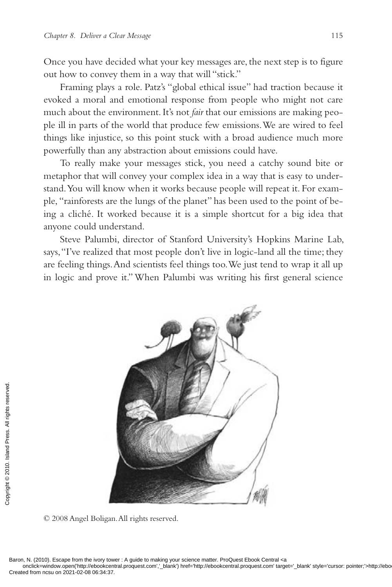Once you have decided what your key messages are, the next step is to figure out how to convey them in a way that will "stick."

Framing plays a role. Patz's "global ethical issue" had traction because it evoked a moral and emotional response from people who might not care much about the environment. It's not *fair* that our emissions are making people ill in parts of the world that produce few emissions.We are wired to feel things like injustice, so this point stuck with a broad audience much more powerfully than any abstraction about emissions could have.

To really make your messages stick, you need a catchy sound bite or metaphor that will convey your complex idea in a way that is easy to understand.You will know when it works because people will repeat it. For example, "rainforests are the lungs of the planet" has been used to the point of being a cliché. It worked because it is a simple shortcut for a big idea that anyone could understand.

Steve Palumbi, director of Stanford University's Hopkins Marine Lab, says,"I've realized that most people don't live in logic-land all the time; they are feeling things.And scientists feel things too.We just tend to wrap it all up in logic and prove it." When Palumbi was writing his first general science



© 2008 Angel Boligan.All rights reserved.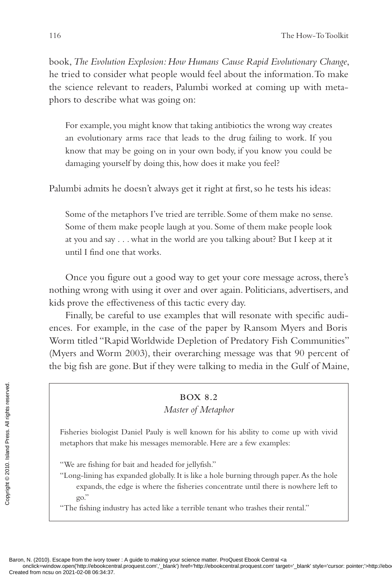book,*The Evolution Explosion: How Humans Cause Rapid Evolutionary Change*, he tried to consider what people would feel about the information.To make the science relevant to readers, Palumbi worked at coming up with metaphors to describe what was going on:

For example, you might know that taking antibiotics the wrong way creates an evolutionary arms race that leads to the drug failing to work. If you know that may be going on in your own body, if you know you could be damaging yourself by doing this, how does it make you feel?

Palumbi admits he doesn't always get it right at first, so he tests his ideas:

Some of the metaphors I've tried are terrible. Some of them make no sense. Some of them make people laugh at you. Some of them make people look at you and say . . . what in the world are you talking about? But I keep at it until I find one that works.

Once you figure out a good way to get your core message across, there's nothing wrong with using it over and over again. Politicians, advertisers, and kids prove the effectiveness of this tactic every day.

Finally, be careful to use examples that will resonate with specific audiences. For example, in the case of the paper by Ransom Myers and Boris Worm titled "Rapid Worldwide Depletion of Predatory Fish Communities" (Myers and Worm 2003), their overarching message was that 90 percent of the big fish are gone. But if they were talking to media in the Gulf of Maine,

#### **BOX 8.2**

#### *Master of Metaphor*

Fisheries biologist Daniel Pauly is well known for his ability to come up with vivid metaphors that make his messages memorable. Here are a few examples:

"We are fishing for bait and headed for jellyfish."

"Long-lining has expanded globally. It is like a hole burning through paper.As the hole expands, the edge is where the fisheries concentrate until there is nowhere left to go." The sealest comparison of the sealest contained from ncsu on 2021-02-08 06:34:37.<br>
Created from ncsu on 2021-02-08 06:34:37.

"The fishing industry has acted like a terrible tenant who trashes their rental."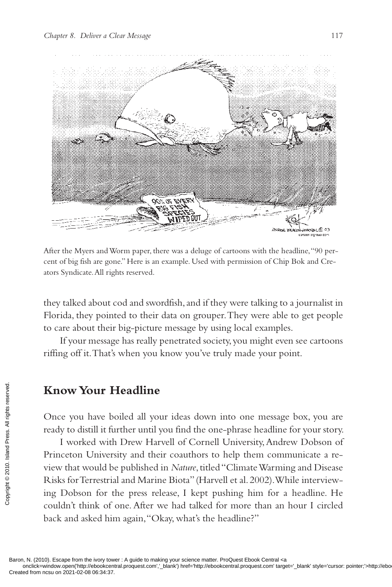

After the Myers andWorm paper, there was a deluge of cartoons with the headline,"90 percent of big fish are gone." Here is an example. Used with permission of Chip Bok and Creators Syndicate.All rights reserved.

they talked about cod and swordfish,and if they were talking to a journalist in Florida, they pointed to their data on grouper.They were able to get people to care about their big-picture message by using local examples.

If your message has really penetrated society,you might even see cartoons riffing off it.That's when you know you've truly made your point.

### **KnowYour Headline**

Once you have boiled all your ideas down into one message box, you are ready to distill it further until you find the one-phrase headline for your story.

I worked with Drew Harvell of Cornell University, Andrew Dobson of Princeton University and their coauthors to help them communicate a review that would be published in *Nature*, titled "Climate Warming and Disease Risks forTerrestrial and Marine Biota"(Harvell et al.2002).While interviewing Dobson for the press release, I kept pushing him for a headline. He couldn't think of one. After we had talked for more than an hour I circled back and asked him again,"Okay, what's the headline?" Example 2021-02-08 06:34:37.<br>
Example 2021-02-08 06:34:37.<br>
Example 2010. Inverse of the contract of the contract of the contract of the contract of the contract of the contract of the contract of the contract contract co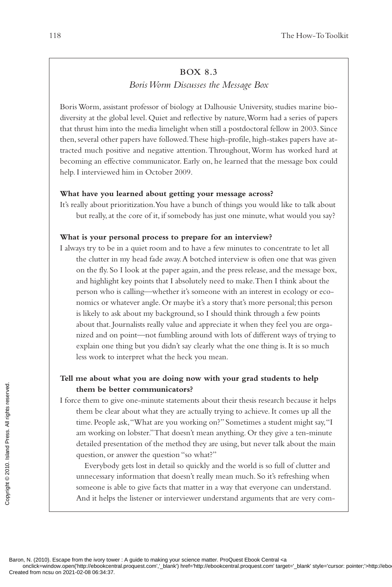### **BOX 8.3**

### *BorisWorm Discusses the Message Box*

Boris Worm, assistant professor of biology at Dalhousie University, studies marine biodiversity at the global level. Quiet and reflective by nature,Worm had a series of papers that thrust him into the media limelight when still a postdoctoral fellow in 2003. Since then, several other papers have followed.These high-profile, high-stakes papers have attracted much positive and negative attention.Throughout,Worm has worked hard at becoming an effective communicator. Early on, he learned that the message box could help. I interviewed him in October 2009.

#### **What have you learned about getting your message across?**

It's really about prioritization.You have a bunch of things you would like to talk about but really, at the core of it, if somebody has just one minute, what would you say?

#### **What is your personal process to prepare for an interview?**

I always try to be in a quiet room and to have a few minutes to concentrate to let all the clutter in my head fade away.A botched interview is often one that was given on the fly. So I look at the paper again, and the press release, and the message box, and highlight key points that I absolutely need to make.Then I think about the person who is calling—whether it's someone with an interest in ecology or economics or whatever angle. Or maybe it's a story that's more personal; this person is likely to ask about my background, so I should think through a few points about that. Journalists really value and appreciate it when they feel you are organized and on point—not fumbling around with lots of different ways of trying to explain one thing but you didn't say clearly what the one thing is. It is so much less work to interpret what the heck you mean.

### **Tell me about what you are doing now with your grad students to help them be better communicators?**

I force them to give one-minute statements about their thesis research because it helps them be clear about what they are actually trying to achieve. It comes up all the time. People ask,"What are you working on?" Sometimes a student might say,"I am working on lobster."That doesn't mean anything. Or they give a ten-minute detailed presentation of the method they are using, but never talk about the main question, or answer the question "so what?" The season of the season of the season of the season of the season of the season of the season of the season of the season of the season of the season of the season of the season of the season of the season of the season

Everybody gets lost in detail so quickly and the world is so full of clutter and unnecessary information that doesn't really mean much. So it's refreshing when someone is able to give facts that matter in a way that everyone can understand. And it helps the listener or interviewer understand arguments that are very com-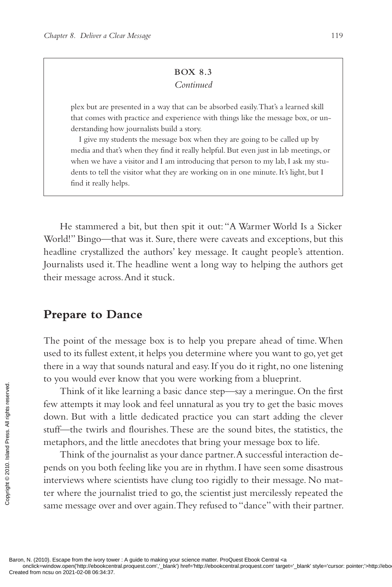#### **BOX 8.3** *Continued*

plex but are presented in a way that can be absorbed easily.That's a learned skill that comes with practice and experience with things like the message box, or understanding how journalists build a story.

I give my students the message box when they are going to be called up by media and that's when they find it really helpful. But even just in lab meetings, or when we have a visitor and I am introducing that person to my lab, I ask my students to tell the visitor what they are working on in one minute. It's light, but I find it really helps.

He stammered a bit, but then spit it out: "A Warmer World Is a Sicker World!" Bingo—that was it. Sure, there were caveats and exceptions, but this headline crystallized the authors' key message. It caught people's attention. Journalists used it.The headline went a long way to helping the authors get their message across.And it stuck.

### **Prepare to Dance**

The point of the message box is to help you prepare ahead of time.When used to its fullest extent, it helps you determine where you want to go, yet get there in a way that sounds natural and easy. If you do it right, no one listening to you would ever know that you were working from a blueprint.

Think of it like learning a basic dance step—say a meringue. On the first few attempts it may look and feel unnatural as you try to get the basic moves down. But with a little dedicated practice you can start adding the clever stuff—the twirls and flourishes.These are the sound bites, the statistics, the metaphors, and the little anecdotes that bring your message box to life. Think of it lik<br>
few attempts it ma<br>
down. But with a<br>
stuff—the twirls a<br>
metaphors, and the<br>
Think of the j<br>
pends on you both<br>
interviews where<br>
ter where the jour<br>
same message over<br>
same message over<br>
same message ov

Think of the journalist as your dance partner.A successful interaction depends on you both feeling like you are in rhythm. I have seen some disastrous interviews where scientists have clung too rigidly to their message. No matter where the journalist tried to go, the scientist just mercilessly repeated the same message over and over again. They refused to "dance" with their partner.

Baron, N. (2010). Escape from the ivory tower : A guide to making your science matter. ProQuest Ebook Central <a<br>onclick=window.open('http://ebookcentral.proquest.com','\_blank') href='http://ebookcentral.proquest.com' tar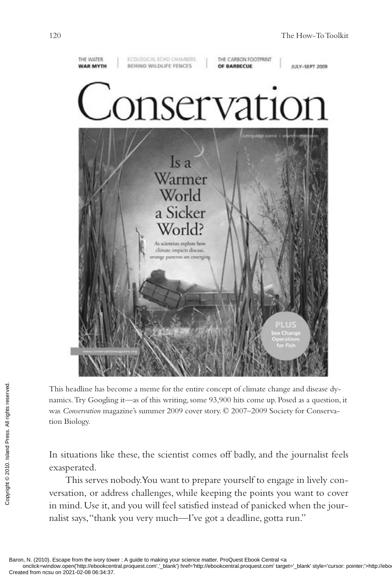

This headline has become a meme for the entire concept of climate change and disease dynamics.Try Googling it—as of this writing, some 93,900 hits come up. Posed as a question, it was *Conservation* magazine's summer 2009 cover story. © 2007–2009 Society for Conservation Biology.

In situations like these, the scientist comes off badly, and the journalist feels exasperated.

This serves nobody.You want to prepare yourself to engage in lively conversation, or address challenges, while keeping the points you want to cover in mind. Use it, and you will feel satisfied instead of panicked when the journalist says,"thank you very much—I've got a deadline, gotta run." This headline has be<br>
namics. Try Googlin<br>
was *Conservation* mag<br>
tion Biology.<br>
see<br>
<u>and</u><br> **Exerced.**<br> **Exerced.**<br> **Exerced.**<br> **Exerced.**<br> **Exerced.**<br> **EXERCE 2010.** In structure with Exerce and Press. All rights reser

Baron, N. (2010). Escape from the ivory tower : A guide to making your science matter. ProQuest Ebook Central <a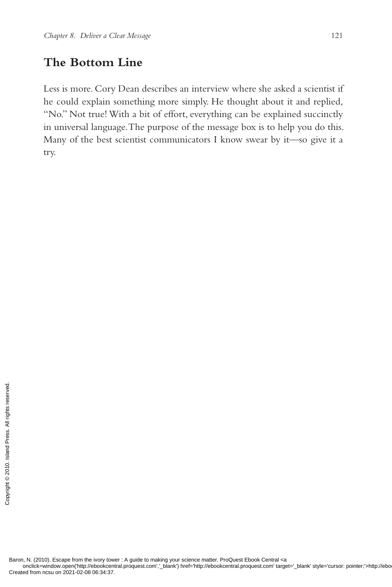# **The Bottom Line**

Less is more. Cory Dean describes an interview where she asked a scientist if he could explain something more simply. He thought about it and replied, "No." Not true! With a bit of effort, everything can be explained succinctly in universal language.The purpose of the message box is to help you do this. Many of the best scientist communicators I know swear by it—so give it a try.